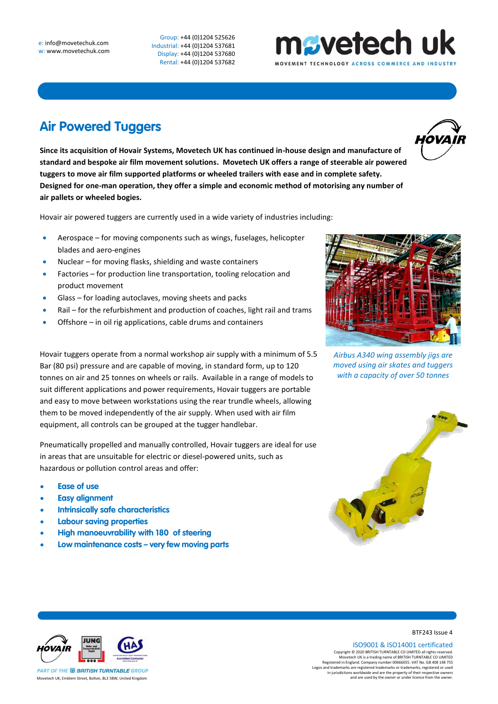Group: +44 (0)1204 525626 Industrial: +44 (0)1204 537681 Display: +44 (0)1204 537680 Rental: +44 (0)1204 537682

# **Air Powered Tuggers**

**Since its acquisition of Hovair Systems, Movetech UK has continued in-house design and manufacture of standard and bespoke air film movement solutions. Movetech UK offers a range of steerable air powered tuggers to move air film supported platforms or wheeled trailers with ease and in complete safety. Designed for one-man operation, they offer a simple and economic method of motorising any number of air pallets or wheeled bogies.**

Hovair air powered tuggers are currently used in a wide variety of industries including:

- Aerospace for moving components such as wings, fuselages, helicopter blades and aero-engines
- Nuclear for moving flasks, shielding and waste containers
- Factories for production line transportation, tooling relocation and product movement
- Glass for loading autoclaves, moving sheets and packs
- Rail for the refurbishment and production of coaches, light rail and trams
- Offshore in oil rig applications, cable drums and containers

Hovair tuggers operate from a normal workshop air supply with a minimum of 5.5 Bar (80 psi) pressure and are capable of moving, in standard form, up to 120 tonnes on air and 25 tonnes on wheels or rails. Available in a range of models to suit different applications and power requirements, Hovair tuggers are portable and easy to move between workstations using the rear trundle wheels, allowing them to be moved independently of the air supply. When used with air film equipment, all controls can be grouped at the tugger handlebar.

Pneumatically propelled and manually controlled, Hovair tuggers are ideal for use in areas that are unsuitable for electric or diesel-powered units, such as hazardous or pollution control areas and offer:

- **Ease of use**
- **Easy alignment**
- **Intrinsically safe characteristics**
- **Labour saving properties**
- **High manoeuvrability with 180° of steering**
- **Low maintenance costs – very few moving parts**



*Airbus A340 wing assembly jigs are moved using air skates and tuggers with a capacity of over 50 tonnes*



#### BTF243 Issue 4

ISO9001 & ISO14001 certificated Copyright © 2020 BRITISH TURNTABLE CO LIMITED all rights reserved.<br>Movetech UK is a trading name of BRITISH TURNTABLE CO LIMITED<br>Registered in England. Company number 00666055. VAT No. GB 408 148 755<br>Logos and trademarks a



Movetech UK, Emblem Street, Bolton, BL3 5BW, United Kingdom